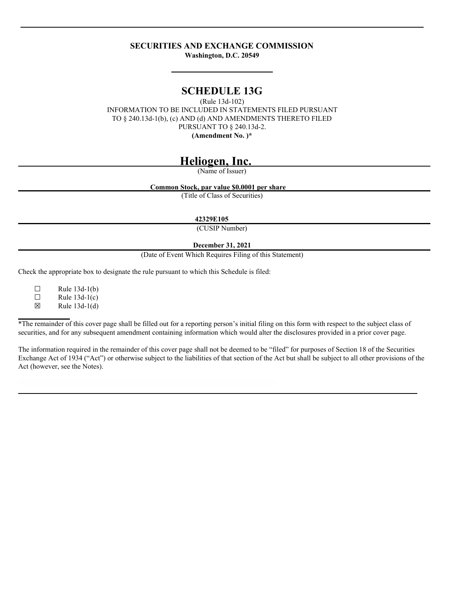## **SECURITIES AND EXCHANGE COMMISSION**

**Washington, D.C. 20549**

# **SCHEDULE 13G**

(Rule 13d-102) INFORMATION TO BE INCLUDED IN STATEMENTS FILED PURSUANT TO § 240.13d-1(b), (c) AND (d) AND AMENDMENTS THERETO FILED PURSUANT TO § 240.13d-2. **(Amendment No. )\***

# **Heliogen, Inc.**

(Name of Issuer)

**Common Stock, par value \$0.0001 per share**

(Title of Class of Securities)

**42329E105**

(CUSIP Number)

## **December 31, 2021**

(Date of Event Which Requires Filing of this Statement)

Check the appropriate box to designate the rule pursuant to which this Schedule is filed:

 $\Box$  Rule 13d-1(b)<br> $\Box$  Rule 13d-1(c) Rule  $13d-1(c)$ 

 $\boxtimes$  Rule 13d-1(d)

\*The remainder of this cover page shall be filled out for a reporting person's initial filing on this form with respect to the subject class of securities, and for any subsequent amendment containing information which would alter the disclosures provided in a prior cover page.

The information required in the remainder of this cover page shall not be deemed to be "filed" for purposes of Section 18 of the Securities Exchange Act of 1934 ("Act") or otherwise subject to the liabilities of that section of the Act but shall be subject to all other provisions of the Act (however, see the Notes).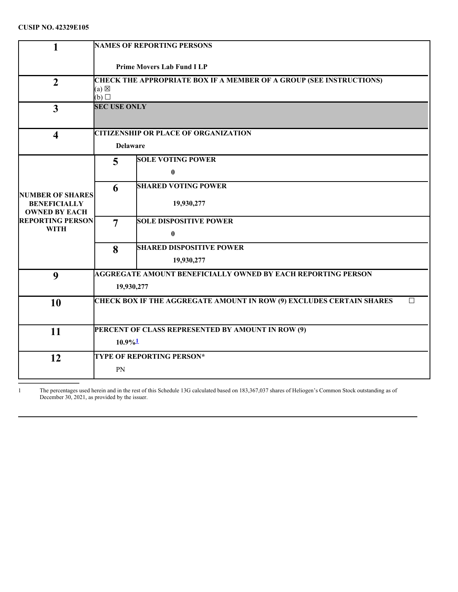| 1                                              | <b>NAMES OF REPORTING PERSONS</b>                                   |                                                                             |        |  |  |
|------------------------------------------------|---------------------------------------------------------------------|-----------------------------------------------------------------------------|--------|--|--|
|                                                | <b>Prime Movers Lab Fund I LP</b>                                   |                                                                             |        |  |  |
| $\overline{2}$                                 | CHECK THE APPROPRIATE BOX IF A MEMBER OF A GROUP (SEE INSTRUCTIONS) |                                                                             |        |  |  |
|                                                | $(a) \boxtimes$<br>$(b)$ $\square$                                  |                                                                             |        |  |  |
| $\overline{3}$                                 | <b>SEC USE ONLY</b>                                                 |                                                                             |        |  |  |
| $\overline{\mathbf{4}}$                        |                                                                     | <b>CITIZENSHIP OR PLACE OF ORGANIZATION</b>                                 |        |  |  |
|                                                |                                                                     | <b>Delaware</b>                                                             |        |  |  |
|                                                | 5                                                                   | <b>SOLE VOTING POWER</b>                                                    |        |  |  |
|                                                |                                                                     | $\bf{0}$                                                                    |        |  |  |
|                                                | 6                                                                   | <b>SHARED VOTING POWER</b>                                                  |        |  |  |
| <b>NUMBER OF SHARES</b><br><b>BENEFICIALLY</b> |                                                                     | 19,930,277                                                                  |        |  |  |
| <b>OWNED BY EACH</b>                           |                                                                     |                                                                             |        |  |  |
| <b>REPORTING PERSON</b><br><b>WITH</b>         | $\overline{7}$                                                      | <b>SOLE DISPOSITIVE POWER</b>                                               |        |  |  |
|                                                |                                                                     | $\bf{0}$                                                                    |        |  |  |
|                                                | 8                                                                   | <b>SHARED DISPOSITIVE POWER</b>                                             |        |  |  |
|                                                |                                                                     | 19,930,277                                                                  |        |  |  |
| $\boldsymbol{9}$                               |                                                                     | <b>AGGREGATE AMOUNT BENEFICIALLY OWNED BY EACH REPORTING PERSON</b>         |        |  |  |
|                                                | 19,930,277                                                          |                                                                             |        |  |  |
| 10                                             |                                                                     | <b>CHECK BOX IF THE AGGREGATE AMOUNT IN ROW (9) EXCLUDES CERTAIN SHARES</b> | $\Box$ |  |  |
|                                                |                                                                     |                                                                             |        |  |  |
| 11                                             | PERCENT OF CLASS REPRESENTED BY AMOUNT IN ROW (9)                   |                                                                             |        |  |  |
|                                                | $10.9\%$ <sup>1</sup>                                               |                                                                             |        |  |  |
| 12                                             |                                                                     | <b>TYPE OF REPORTING PERSON*</b>                                            |        |  |  |
|                                                | PN                                                                  |                                                                             |        |  |  |
|                                                |                                                                     |                                                                             |        |  |  |

<span id="page-1-0"></span>1 The percentages used herein and in the rest of this Schedule 13G calculated based on 183,367,037 shares of Heliogen's Common Stock outstanding as of December 30, 2021, as provided by the issuer.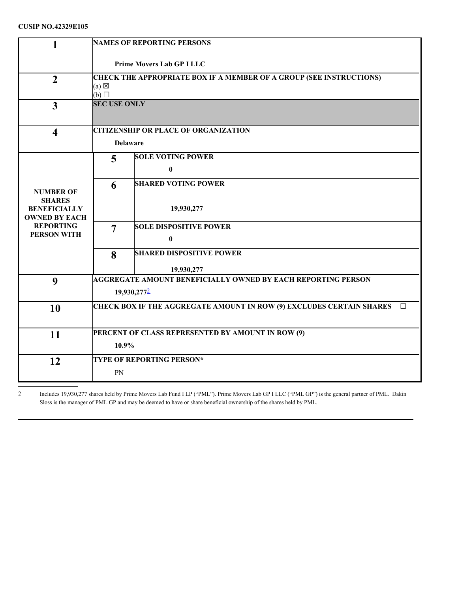## **CUSIP NO.42329E105**

| 1                                           | <b>NAMES OF REPORTING PERSONS</b>                                                                    |  |  |  |
|---------------------------------------------|------------------------------------------------------------------------------------------------------|--|--|--|
|                                             | <b>Prime Movers Lab GP I LLC</b>                                                                     |  |  |  |
| $\overline{2}$                              | <b>CHECK THE APPROPRIATE BOX IF A MEMBER OF A GROUP (SEE INSTRUCTIONS)</b><br>$(a) \boxtimes$<br>(b) |  |  |  |
| $\overline{\mathbf{3}}$                     | <b>SEC USE ONLY</b>                                                                                  |  |  |  |
| $\overline{\mathbf{4}}$                     | <b>CITIZENSHIP OR PLACE OF ORGANIZATION</b>                                                          |  |  |  |
|                                             | <b>Delaware</b>                                                                                      |  |  |  |
|                                             | <b>SOLE VOTING POWER</b><br>5                                                                        |  |  |  |
|                                             | $\bf{0}$                                                                                             |  |  |  |
| <b>NUMBER OF</b>                            | <b>SHARED VOTING POWER</b><br>6                                                                      |  |  |  |
| <b>SHARES</b>                               |                                                                                                      |  |  |  |
| <b>BENEFICIALLY</b><br><b>OWNED BY EACH</b> | 19,930,277                                                                                           |  |  |  |
| <b>REPORTING</b><br><b>PERSON WITH</b>      | <b>SOLE DISPOSITIVE POWER</b><br>$\overline{7}$                                                      |  |  |  |
|                                             | $\bf{0}$                                                                                             |  |  |  |
|                                             | <b>SHARED DISPOSITIVE POWER</b><br>8                                                                 |  |  |  |
|                                             | 19,930,277                                                                                           |  |  |  |
| 9                                           | <b>AGGREGATE AMOUNT BENEFICIALLY OWNED BY EACH REPORTING PERSON</b>                                  |  |  |  |
|                                             | 19,930,2772                                                                                          |  |  |  |
| 10                                          | <b>CHECK BOX IF THE AGGREGATE AMOUNT IN ROW (9) EXCLUDES CERTAIN SHARES</b><br>$\Box$                |  |  |  |
|                                             |                                                                                                      |  |  |  |
| 11                                          | PERCENT OF CLASS REPRESENTED BY AMOUNT IN ROW (9)                                                    |  |  |  |
|                                             | 10.9%                                                                                                |  |  |  |
| 12                                          | <b>TYPE OF REPORTING PERSON*</b>                                                                     |  |  |  |
|                                             | PN                                                                                                   |  |  |  |

<span id="page-2-0"></span>2 Includes 19,930,277 shares held by Prime Movers Lab Fund I LP ("PML"). Prime Movers Lab GP I LLC ("PML GP") is the general partner of PML. Dakin Sloss is the manager of PML GP and may be deemed to have or share beneficial ownership of the shares held by PML.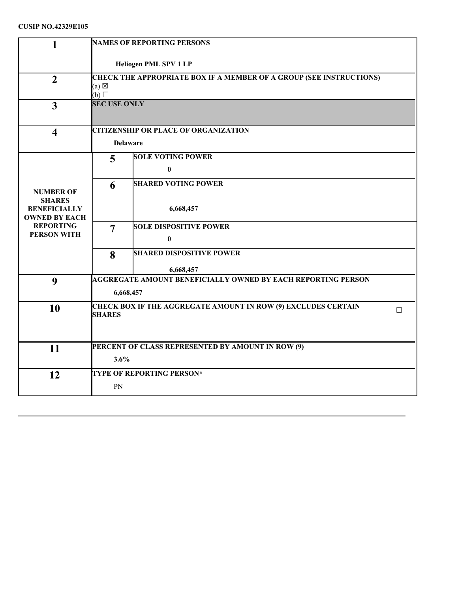## **CUSIP NO.42329E105**

| 1                                           | <b>NAMES OF REPORTING PERSONS</b>                                                                         |                                                               |   |  |
|---------------------------------------------|-----------------------------------------------------------------------------------------------------------|---------------------------------------------------------------|---|--|
|                                             | Heliogen PML SPV 1 LP                                                                                     |                                                               |   |  |
| $\overline{2}$                              | CHECK THE APPROPRIATE BOX IF A MEMBER OF A GROUP (SEE INSTRUCTIONS)<br>$(a) \boxtimes$<br>$(b)$ $\square$ |                                                               |   |  |
| $\overline{3}$                              | <b>SEC USE ONLY</b>                                                                                       |                                                               |   |  |
| $\overline{\mathbf{4}}$                     |                                                                                                           | <b>CITIZENSHIP OR PLACE OF ORGANIZATION</b>                   |   |  |
|                                             |                                                                                                           | <b>Delaware</b>                                               |   |  |
|                                             | 5                                                                                                         | <b>SOLE VOTING POWER</b>                                      |   |  |
|                                             |                                                                                                           | $\bf{0}$                                                      |   |  |
|                                             | 6                                                                                                         | <b>SHARED VOTING POWER</b>                                    |   |  |
| <b>NUMBER OF</b><br><b>SHARES</b>           |                                                                                                           |                                                               |   |  |
| <b>BENEFICIALLY</b><br><b>OWNED BY EACH</b> |                                                                                                           | 6,668,457                                                     |   |  |
| <b>REPORTING</b>                            | $\overline{7}$                                                                                            | <b>SOLE DISPOSITIVE POWER</b>                                 |   |  |
| <b>PERSON WITH</b>                          |                                                                                                           | $\bf{0}$                                                      |   |  |
|                                             | 8                                                                                                         | <b>SHARED DISPOSITIVE POWER</b>                               |   |  |
|                                             |                                                                                                           | 6,668,457                                                     |   |  |
| 9                                           |                                                                                                           | AGGREGATE AMOUNT BENEFICIALLY OWNED BY EACH REPORTING PERSON  |   |  |
|                                             |                                                                                                           | 6,668,457                                                     |   |  |
| 10                                          |                                                                                                           | CHECK BOX IF THE AGGREGATE AMOUNT IN ROW (9) EXCLUDES CERTAIN | П |  |
|                                             | <b>SHARES</b>                                                                                             |                                                               |   |  |
|                                             |                                                                                                           |                                                               |   |  |
| 11                                          |                                                                                                           | PERCENT OF CLASS REPRESENTED BY AMOUNT IN ROW (9)             |   |  |
|                                             | 3.6%                                                                                                      |                                                               |   |  |
| 12                                          |                                                                                                           | <b>TYPE OF REPORTING PERSON*</b>                              |   |  |
|                                             | PN                                                                                                        |                                                               |   |  |
|                                             |                                                                                                           |                                                               |   |  |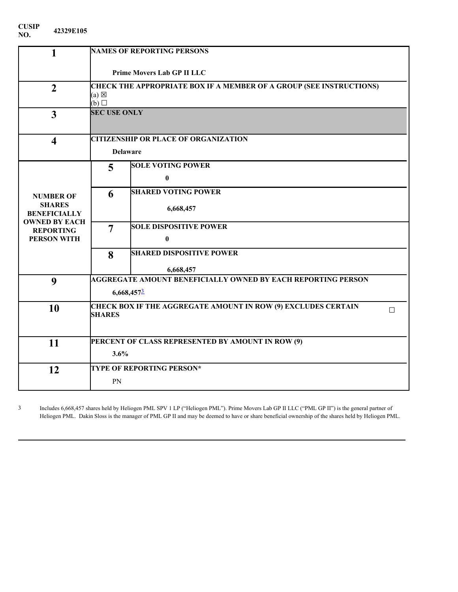| CUSIP | 42329E105 |
|-------|-----------|
| NO.   |           |

| $\mathbf{1}$                         | <b>NAMES OF REPORTING PERSONS</b>                                                                                |                                                   |  |  |
|--------------------------------------|------------------------------------------------------------------------------------------------------------------|---------------------------------------------------|--|--|
|                                      | <b>Prime Movers Lab GP II LLC</b>                                                                                |                                                   |  |  |
| $\overline{2}$                       | <b>CHECK THE APPROPRIATE BOX IF A MEMBER OF A GROUP (SEE INSTRUCTIONS)</b><br>$(a) \boxtimes$<br>$(b)$ $\square$ |                                                   |  |  |
| 3                                    | <b>SEC USE ONLY</b>                                                                                              |                                                   |  |  |
| $\overline{\mathbf{4}}$              |                                                                                                                  | <b>CITIZENSHIP OR PLACE OF ORGANIZATION</b>       |  |  |
|                                      |                                                                                                                  | <b>Delaware</b>                                   |  |  |
|                                      | 5                                                                                                                | <b>SOLE VOTING POWER</b>                          |  |  |
|                                      |                                                                                                                  | $\bf{0}$                                          |  |  |
| <b>NUMBER OF</b>                     | 6                                                                                                                | <b>SHARED VOTING POWER</b>                        |  |  |
| <b>SHARES</b><br><b>BENEFICIALLY</b> |                                                                                                                  | 6,668,457                                         |  |  |
| <b>OWNED BY EACH</b>                 |                                                                                                                  |                                                   |  |  |
| <b>REPORTING</b>                     | 7                                                                                                                | <b>SOLE DISPOSITIVE POWER</b>                     |  |  |
| <b>PERSON WITH</b>                   |                                                                                                                  | $\bf{0}$                                          |  |  |
|                                      | 8                                                                                                                | <b>SHARED DISPOSITIVE POWER</b>                   |  |  |
|                                      |                                                                                                                  | 6,668,457                                         |  |  |
| 9                                    | <b>AGGREGATE AMOUNT BENEFICIALLY OWNED BY EACH REPORTING PERSON</b>                                              |                                                   |  |  |
|                                      | 6,668,4573                                                                                                       |                                                   |  |  |
| 10                                   | <b>CHECK BOX IF THE AGGREGATE AMOUNT IN ROW (9) EXCLUDES CERTAIN</b><br>П                                        |                                                   |  |  |
|                                      | <b>SHARES</b>                                                                                                    |                                                   |  |  |
|                                      |                                                                                                                  |                                                   |  |  |
| 11                                   |                                                                                                                  | PERCENT OF CLASS REPRESENTED BY AMOUNT IN ROW (9) |  |  |
|                                      | 3.6%                                                                                                             |                                                   |  |  |
| 12                                   |                                                                                                                  | <b>TYPE OF REPORTING PERSON*</b>                  |  |  |
|                                      | PN                                                                                                               |                                                   |  |  |

<span id="page-4-0"></span>3 Includes 6,668,457 shares held by Heliogen PML SPV 1 LP ("Heliogen PML"). Prime Movers Lab GP II LLC ("PML GP II") is the general partner of Heliogen PML. Dakin Sloss is the manager of PML GP II and may be deemed to have or share beneficial ownership of the shares held by Heliogen PML.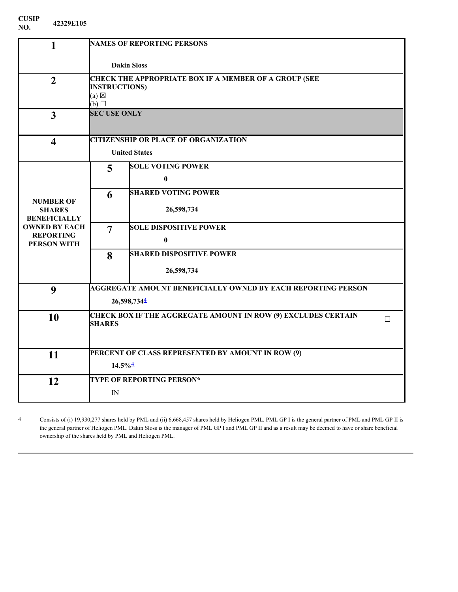| CUSIP | 42329E105 |
|-------|-----------|
| NO.   |           |

| 1                                      |                       | <b>NAMES OF REPORTING PERSONS</b>                                    |        |  |  |
|----------------------------------------|-----------------------|----------------------------------------------------------------------|--------|--|--|
|                                        | <b>Dakin Sloss</b>    |                                                                      |        |  |  |
| $\overline{2}$                         |                       | <b>CHECK THE APPROPRIATE BOX IF A MEMBER OF A GROUP (SEE</b>         |        |  |  |
|                                        |                       | <b>INSTRUCTIONS)</b>                                                 |        |  |  |
|                                        | $(b)$ $\square$       | $(a) \boxtimes$                                                      |        |  |  |
|                                        | <b>SEC USE ONLY</b>   |                                                                      |        |  |  |
| $\overline{3}$                         |                       |                                                                      |        |  |  |
| $\overline{\mathbf{4}}$                |                       | <b>CITIZENSHIP OR PLACE OF ORGANIZATION</b>                          |        |  |  |
|                                        |                       | <b>United States</b>                                                 |        |  |  |
|                                        | 5                     | <b>SOLE VOTING POWER</b>                                             |        |  |  |
|                                        |                       | $\mathbf{0}$                                                         |        |  |  |
| <b>NUMBER OF</b>                       | 6                     | <b>SHARED VOTING POWER</b>                                           |        |  |  |
| <b>SHARES</b><br><b>BENEFICIALLY</b>   |                       | 26,598,734                                                           |        |  |  |
| <b>OWNED BY EACH</b>                   | $\overline{7}$        | <b>SOLE DISPOSITIVE POWER</b>                                        |        |  |  |
| <b>REPORTING</b><br><b>PERSON WITH</b> |                       | $\bf{0}$                                                             |        |  |  |
|                                        | 8                     | <b>SHARED DISPOSITIVE POWER</b>                                      |        |  |  |
|                                        |                       | 26,598,734                                                           |        |  |  |
|                                        |                       | <b>AGGREGATE AMOUNT BENEFICIALLY OWNED BY EACH REPORTING PERSON</b>  |        |  |  |
| 9                                      |                       |                                                                      |        |  |  |
|                                        |                       | 26,598,7344                                                          |        |  |  |
| 10                                     |                       | <b>CHECK BOX IF THE AGGREGATE AMOUNT IN ROW (9) EXCLUDES CERTAIN</b> | $\Box$ |  |  |
|                                        | <b>SHARES</b>         |                                                                      |        |  |  |
|                                        |                       |                                                                      |        |  |  |
| 11                                     |                       | PERCENT OF CLASS REPRESENTED BY AMOUNT IN ROW (9)                    |        |  |  |
|                                        | $14.5\%$ <sup>4</sup> |                                                                      |        |  |  |
|                                        |                       | <b>TYPE OF REPORTING PERSON*</b>                                     |        |  |  |
| 12                                     |                       |                                                                      |        |  |  |
|                                        | IN                    |                                                                      |        |  |  |

<span id="page-5-0"></span>4 Consists of (i) 19,930,277 shares held by PML and (ii) 6,668,457 shares held by Heliogen PML. PML GP I is the general partner of PML and PML GP II is the general partner of Heliogen PML. Dakin Sloss is the manager of PML GP I and PML GP II and as a result may be deemed to have or share beneficial ownership of the shares held by PML and Heliogen PML.

**NO.**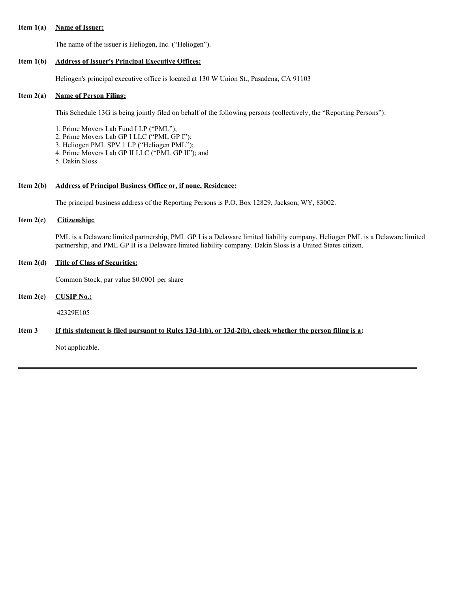#### **Item 1(a) Name of Issuer:**

The name of the issuer is Heliogen, Inc. ("Heliogen").

#### **Item 1(b) Address of Issuer's Principal Executive Offices:**

Heliogen's principal executive office is located at 130 W Union St., Pasadena, CA 91103

## **Item 2(a) Name of Person Filing:**

This Schedule 13G is being jointly filed on behalf of the following persons (collectively, the "Reporting Persons"):

1. Prime Movers Lab Fund I LP ("PML");

- 2. Prime Movers Lab GP I LLC ("PML GP I");
- 3. Heliogen PML SPV 1 LP ("Heliogen PML");
- 4. Prime Movers Lab GP II LLC ("PML GP II"); and
- 5. Dakin Sloss

## **Item 2(b) Address of Principal Business Office or, if none, Residence:**

The principal business address of the Reporting Persons is P.O. Box 12829, Jackson, WY, 83002.

## **Item 2(c) Citizenship:**

PML is a Delaware limited partnership, PML GP I is a Delaware limited liability company, Heliogen PML is a Delaware limited partnership, and PML GP II is a Delaware limited liability company. Dakin Sloss is a United States citizen.

## **Item 2(d) Title of Class of Securities:**

Common Stock, par value \$0.0001 per share

## **Item 2(e) CUSIP No.:**

42329E105

## Item 3 If this statement is filed pursuant to Rules 13d-1(b), or 13d-2(b), check whether the person filing is a:

Not applicable.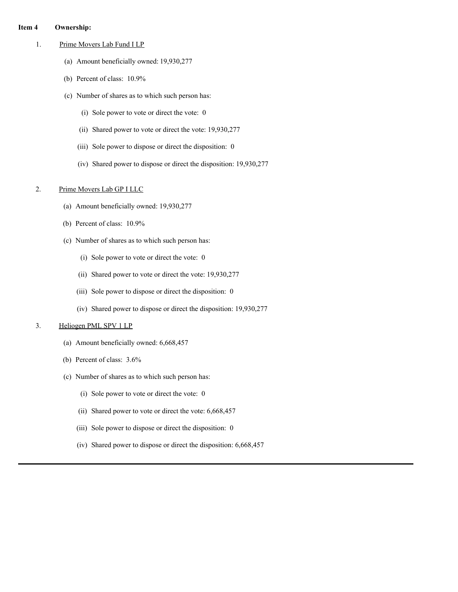#### **Item 4 Ownership:**

- 1. Prime Movers Lab Fund I LP
	- (a) Amount beneficially owned: 19,930,277
	- (b) Percent of class: 10.9%
	- (c) Number of shares as to which such person has:
		- (i) Sole power to vote or direct the vote: 0
		- (ii) Shared power to vote or direct the vote: 19,930,277
		- (iii) Sole power to dispose or direct the disposition: 0
		- (iv) Shared power to dispose or direct the disposition: 19,930,277

## 2. Prime Movers Lab GP I LLC

- (a) Amount beneficially owned: 19,930,277
- (b) Percent of class: 10.9%
- (c) Number of shares as to which such person has:
	- (i) Sole power to vote or direct the vote: 0
	- (ii) Shared power to vote or direct the vote: 19,930,277
	- (iii) Sole power to dispose or direct the disposition: 0
	- (iv) Shared power to dispose or direct the disposition: 19,930,277

#### 3. Heliogen PML SPV 1 LP

- (a) Amount beneficially owned: 6,668,457
- (b) Percent of class: 3.6%
- (c) Number of shares as to which such person has:
	- (i) Sole power to vote or direct the vote: 0
	- (ii) Shared power to vote or direct the vote: 6,668,457
	- (iii) Sole power to dispose or direct the disposition: 0
	- (iv) Shared power to dispose or direct the disposition: 6,668,457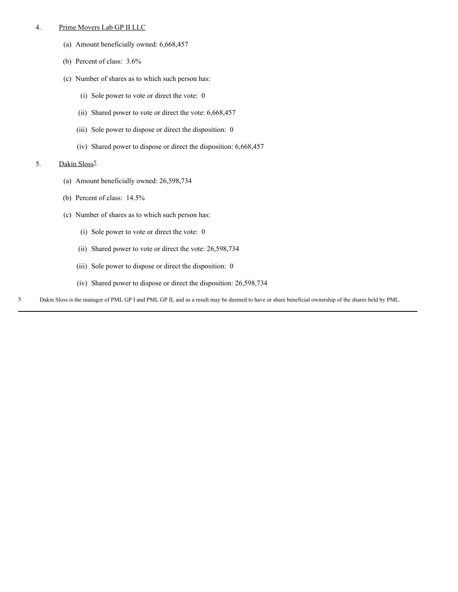#### 4. Prime Movers Lab GP II LLC

- (a) Amount beneficially owned: 6,668,457
- (b) Percent of class: 3.6%
- (c) Number of shares as to which such person has:
	- (i) Sole power to vote or direct the vote: 0
	- (ii) Shared power to vote or direct the vote: 6,668,457
	- (iii) Sole power to dispose or direct the disposition: 0
	- (iv) Shared power to dispose or direct the disposition: 6,668,457

#### [5](#page-8-0). Dakin Sloss<sup>5</sup>

- (a) Amount beneficially owned: 26,598,734
- (b) Percent of class: 14.5%
- (c) Number of shares as to which such person has:
	- (i) Sole power to vote or direct the vote: 0
	- (ii) Shared power to vote or direct the vote: 26,598,734
	- (iii) Sole power to dispose or direct the disposition: 0
	- (iv) Shared power to dispose or direct the disposition: 26,598,734
- <span id="page-8-0"></span>5 Dakin Sloss is the manager of PML GP I and PML GP II, and as a result may be deemed to have or share beneficial ownership of the shares held by PML.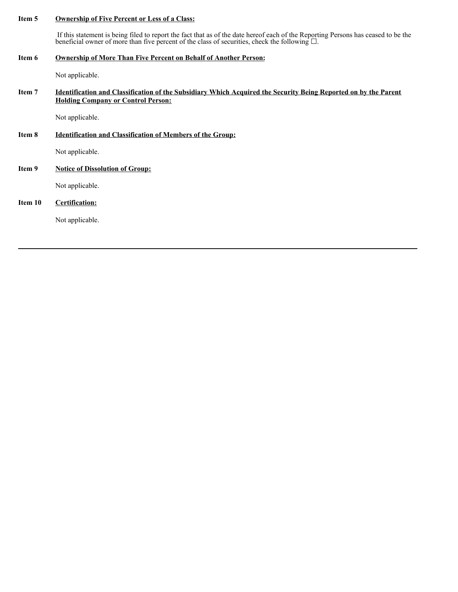#### **Item 5 Ownership of Five Percent or Less of a Class:**

If this statement is being filed to report the fact that as of the date hereof each of the Reporting Persons has ceased to be the beneficial owner of more than five percent of the class of securities, check the following  $\square$ .

#### **Item 6 Ownership of More Than Five Percent on Behalf of Another Person:**

Not applicable.

## Item 7 Identification and Classification of the Subsidiary Which Acquired the Security Being Reported on by the Parent **Holding Company or Control Person:**

Not applicable.

## **Item 8 Identification and Classification of Members of the Group:**

Not applicable.

## **Item 9 Notice of Dissolution of Group:**

Not applicable.

## **Item 10 Certification:**

Not applicable.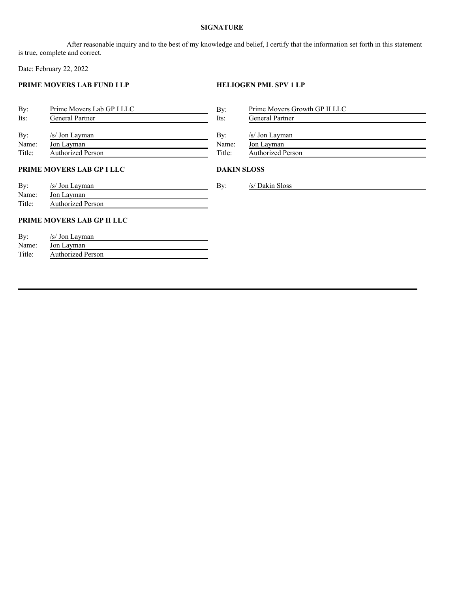## **SIGNATURE**

After reasonable inquiry and to the best of my knowledge and belief, I certify that the information set forth in this statement is true, complete and correct.

Date: February 22, 2022

## **PRIME MOVERS LAB FUND I LP HELIOGEN PML SPV 1 LP**

|                            | By:                | Prime Movers Growth GP II LLC |
|----------------------------|--------------------|-------------------------------|
| General Partner            | Its:               | General Partner               |
|                            |                    |                               |
| /s/ Jon Layman             |                    | /s/ Jon Layman                |
| Jon Layman                 | Name:              | Jon Layman                    |
| <b>Authorized Person</b>   | Title:             | <b>Authorized Person</b>      |
| PRIME MOVERS LAB GP I LLC  | <b>DAKIN SLOSS</b> |                               |
| /s/ Jon Layman             | By:                | /s/ Dakin Sloss               |
| Jon Layman                 |                    |                               |
| <b>Authorized Person</b>   |                    |                               |
| PRIME MOVERS LAB GP II LLC |                    |                               |
| /s/ Jon Layman             |                    |                               |
| Jon Layman                 |                    |                               |
| <b>Authorized Person</b>   |                    |                               |
|                            |                    |                               |
|                            |                    | By:                           |